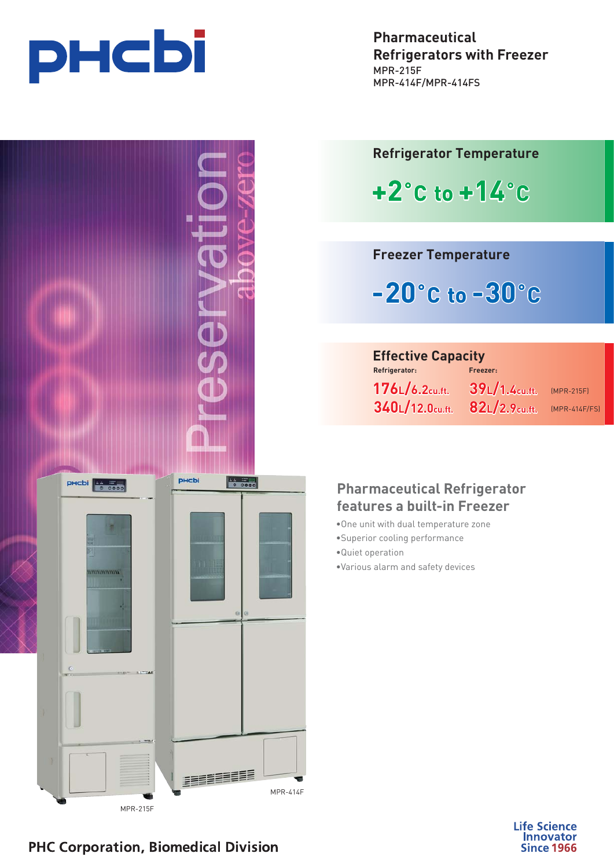





**Refrigerator Temperature**

 $+2^{\circ}$ C to  $+14^{\circ}$ C **+2˚C to +14˚C**

**Freezer Temperature**

**-20˚C to -30˚C**

## **Properator:**<br> **Effective Capacity Freezer:**

 $176$ L $/6.2$ cu.ft. **176 Line 2017 17 Line 321 340L/12.0cu.ft. 82L/2.9cu.ft.** (MPR-414F/FS)

 $39L/1.4$ cu.ft.

(MPR-215F)

# **Pharmaceutical Refrigerator**

- **features a built-in Freezer** •One unit with dual temperature zone
- •Superior cooling performance
- •Quiet operation
- •Various alarm and safety devices



# **PHC Corporation, Biomedical Division**